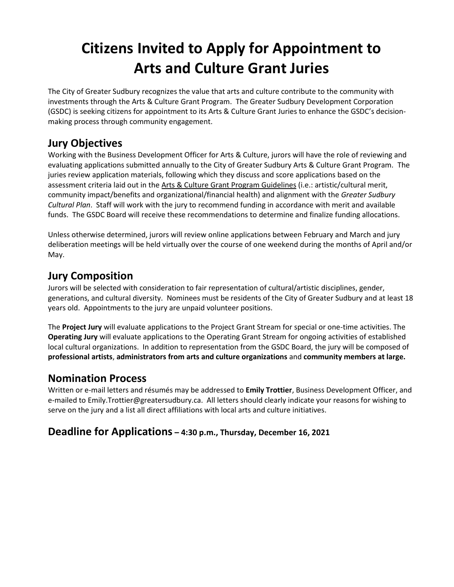# **Citizens Invited to Apply for Appointment to Arts and Culture Grant Juries**

The City of Greater Sudbury recognizes the value that arts and culture contribute to the community with investments through the Arts & Culture Grant Program. The Greater Sudbury Development Corporation (GSDC) is seeking citizens for appointment to its Arts & Culture Grant Juries to enhance the GSDC's decisionmaking process through community engagement.

## **Jury Objectives**

Working with the Business Development Officer for Arts & Culture, jurors will have the role of reviewing and evaluating applications submitted annually to the City of Greater Sudbury Arts & Culture Grant Program. The juries review application materials, following which they discuss and score applications based on the assessment criteria laid out in th[e Arts & Culture Grant Program Guidelines](http://www.investsudbury.ca/images/AC_Forms/2014/AC%20Grant%20Program%20Guidelines%202013-2014.pdf) (i.e.: artistic/cultural merit, community impact/benefits and organizational/financial health) and alignment with the *Greater Sudbury Cultural Plan*. Staff will work with the jury to recommend funding in accordance with merit and available funds. The GSDC Board will receive these recommendations to determine and finalize funding allocations.

Unless otherwise determined, jurors will review online applications between February and March and jury deliberation meetings will be held virtually over the course of one weekend during the months of April and/or May.

### **Jury Composition**

Jurors will be selected with consideration to fair representation of cultural/artistic disciplines, gender, generations, and cultural diversity. Nominees must be residents of the City of Greater Sudbury and at least 18 years old. Appointments to the jury are unpaid volunteer positions.

The **Project Jury** [will evaluate applications to the Project Grant Stream for special or one-time activities. The](https://www.greatersudbury.ca/living/arts-and-culture/2014-project-grants/)  **Operating Jury** [will evaluate applications to the Operating Grant Stream for ongoing activities of established](https://www.greatersudbury.ca/living/arts-and-culture/2014-project-grants/)  [local cultural organizations.](https://www.greatersudbury.ca/living/arts-and-culture/2014-project-grants/) In addition to representation from the GSDC Board, the jury will be composed of **professional artists**, **administrators from arts and culture organizations** and **community members at large.**

## **Nomination Process**

Written or e-mail letters and résumés may be addressed to **Emily Trottier**, Business Development Officer, and e-mailed to Emily.Trottier@greatersudbury.ca. All letters should clearly indicate your reasons for wishing to serve on the jury and a list all direct affiliations with local arts and culture initiatives.

#### **Deadline for Applications – 4:30 p.m., Thursday, December 16, 2021**